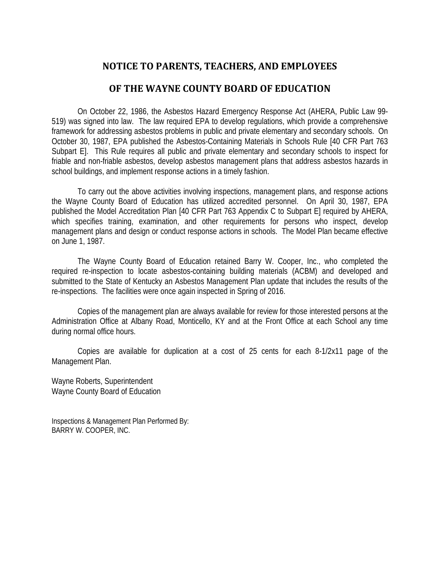# **NOTICE TO PARENTS, TEACHERS, AND EMPLOYEES**

## **OF THE WAYNE COUNTY BOARD OF EDUCATION**

On October 22, 1986, the Asbestos Hazard Emergency Response Act (AHERA, Public Law 99- 519) was signed into law. The law required EPA to develop regulations, which provide a comprehensive framework for addressing asbestos problems in public and private elementary and secondary schools. On October 30, 1987, EPA published the Asbestos-Containing Materials in Schools Rule [40 CFR Part 763 Subpart E]. This Rule requires all public and private elementary and secondary schools to inspect for friable and non-friable asbestos, develop asbestos management plans that address asbestos hazards in school buildings, and implement response actions in a timely fashion.

To carry out the above activities involving inspections, management plans, and response actions the Wayne County Board of Education has utilized accredited personnel. On April 30, 1987, EPA published the Model Accreditation Plan [40 CFR Part 763 Appendix C to Subpart E] required by AHERA, which specifies training, examination, and other requirements for persons who inspect, develop management plans and design or conduct response actions in schools. The Model Plan became effective on June 1, 1987.

The Wayne County Board of Education retained Barry W. Cooper, Inc., who completed the required re-inspection to locate asbestos-containing building materials (ACBM) and developed and submitted to the State of Kentucky an Asbestos Management Plan update that includes the results of the re-inspections. The facilities were once again inspected in Spring of 2016.

Copies of the management plan are always available for review for those interested persons at the Administration Office at Albany Road, Monticello, KY and at the Front Office at each School any time during normal office hours.

Copies are available for duplication at a cost of 25 cents for each 8-1/2x11 page of the Management Plan.

Wayne Roberts, Superintendent Wayne County Board of Education

Inspections & Management Plan Performed By: BARRY W. COOPER, INC.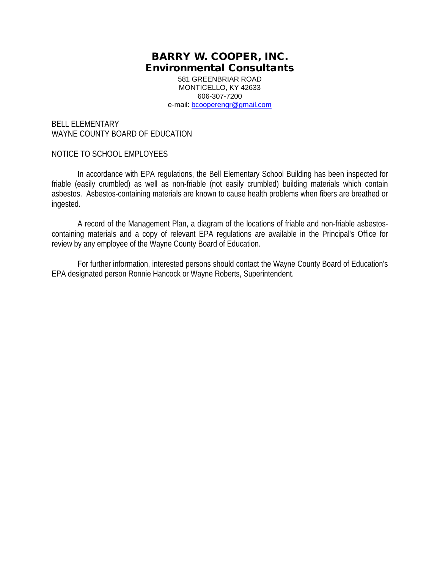581 GREENBRIAR ROAD MONTICELLO, KY 42633 606-307-7200 e-mail: [bcooperengr@gmail.com](mailto:bcooperengr@gmail.com)

BELL ELEMENTARY WAYNE COUNTY BOARD OF EDUCATION

#### NOTICE TO SCHOOL EMPLOYEES

In accordance with EPA regulations, the Bell Elementary School Building has been inspected for friable (easily crumbled) as well as non-friable (not easily crumbled) building materials which contain asbestos. Asbestos-containing materials are known to cause health problems when fibers are breathed or ingested.

A record of the Management Plan, a diagram of the locations of friable and non-friable asbestoscontaining materials and a copy of relevant EPA regulations are available in the Principal's Office for review by any employee of the Wayne County Board of Education.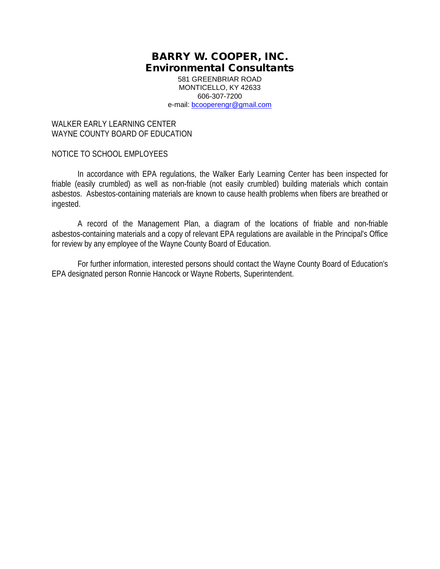581 GREENBRIAR ROAD MONTICELLO, KY 42633 606-307-7200 e-mail: [bcooperengr@gmail.com](mailto:bcooperengr@gmail.com)

### WALKER FARLY LEARNING CENTER WAYNE COUNTY BOARD OF EDUCATION

### NOTICE TO SCHOOL EMPLOYEES

In accordance with EPA regulations, the Walker Early Learning Center has been inspected for friable (easily crumbled) as well as non-friable (not easily crumbled) building materials which contain asbestos. Asbestos-containing materials are known to cause health problems when fibers are breathed or ingested.

A record of the Management Plan, a diagram of the locations of friable and non-friable asbestos-containing materials and a copy of relevant EPA regulations are available in the Principal's Office for review by any employee of the Wayne County Board of Education.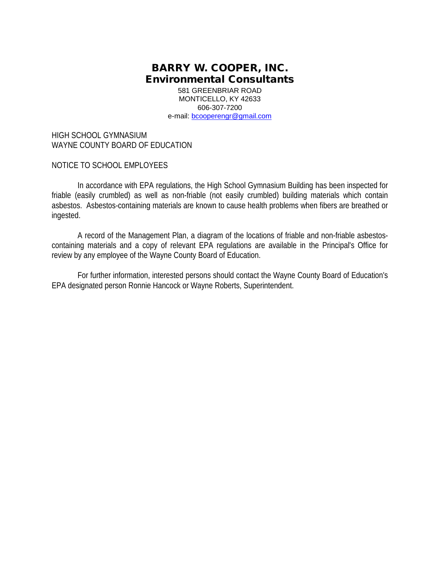581 GREENBRIAR ROAD MONTICELLO, KY 42633 606-307-7200 e-mail: [bcooperengr@gmail.com](mailto:bcooperengr@gmail.com)

HIGH SCHOOL GYMNASIUM WAYNE COUNTY BOARD OF EDUCATION

NOTICE TO SCHOOL EMPLOYEES

In accordance with EPA regulations, the High School Gymnasium Building has been inspected for friable (easily crumbled) as well as non-friable (not easily crumbled) building materials which contain asbestos. Asbestos-containing materials are known to cause health problems when fibers are breathed or ingested.

A record of the Management Plan, a diagram of the locations of friable and non-friable asbestoscontaining materials and a copy of relevant EPA regulations are available in the Principal's Office for review by any employee of the Wayne County Board of Education.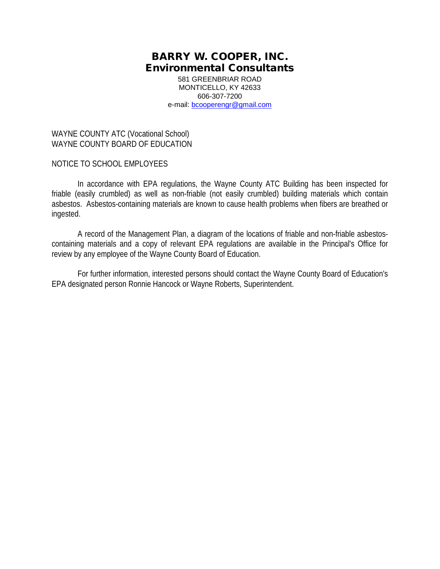581 GREENBRIAR ROAD MONTICELLO, KY 42633 606-307-7200 e-mail: [bcooperengr@gmail.com](mailto:bcooperengr@gmail.com)

WAYNE COUNTY ATC (Vocational School) WAYNE COUNTY BOARD OF EDUCATION

NOTICE TO SCHOOL EMPLOYEES

In accordance with EPA regulations, the Wayne County ATC Building has been inspected for friable (easily crumbled) as well as non-friable (not easily crumbled) building materials which contain asbestos. Asbestos-containing materials are known to cause health problems when fibers are breathed or ingested.

A record of the Management Plan, a diagram of the locations of friable and non-friable asbestoscontaining materials and a copy of relevant EPA regulations are available in the Principal's Office for review by any employee of the Wayne County Board of Education.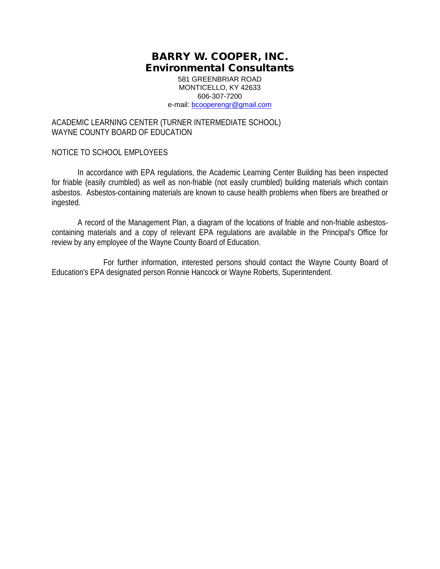581 GREENBRIAR ROAD MONTICELLO, KY 42633 606-307-7200 e-mail: [bcooperengr@gmail.com](mailto:bcooperengr@gmail.com)

### ACADEMIC LEARNING CENTER (TURNER INTERMEDIATE SCHOOL) WAYNE COUNTY BOARD OF EDUCATION

### NOTICE TO SCHOOL EMPLOYEES

In accordance with EPA regulations, the Academic Learning Center Building has been inspected for friable (easily crumbled) as well as non-friable (not easily crumbled) building materials which contain asbestos. Asbestos-containing materials are known to cause health problems when fibers are breathed or ingested.

A record of the Management Plan, a diagram of the locations of friable and non-friable asbestoscontaining materials and a copy of relevant EPA regulations are available in the Principal's Office for review by any employee of the Wayne County Board of Education.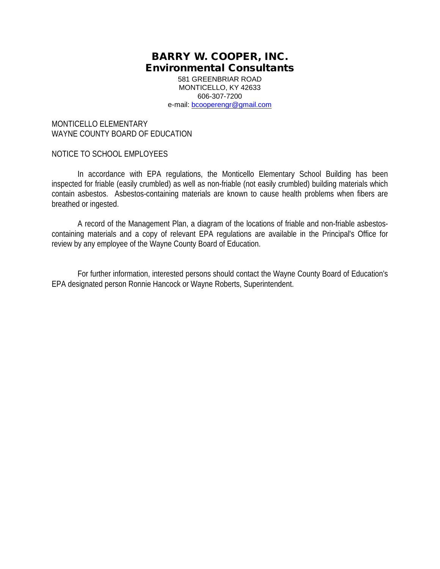581 GREENBRIAR ROAD MONTICELLO, KY 42633 606-307-7200 e-mail: [bcooperengr@gmail.com](mailto:bcooperengr@gmail.com)

MONTICELLO ELEMENTARY WAYNE COUNTY BOARD OF EDUCATION

#### NOTICE TO SCHOOL EMPLOYEES

In accordance with EPA regulations, the Monticello Elementary School Building has been inspected for friable (easily crumbled) as well as non-friable (not easily crumbled) building materials which contain asbestos. Asbestos-containing materials are known to cause health problems when fibers are breathed or ingested.

A record of the Management Plan, a diagram of the locations of friable and non-friable asbestoscontaining materials and a copy of relevant EPA regulations are available in the Principal's Office for review by any employee of the Wayne County Board of Education.